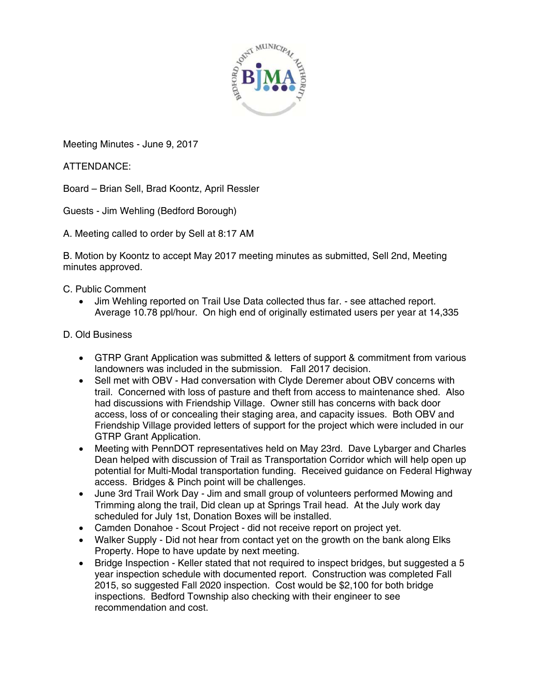

Meeting Minutes - June 9, 2017

ATTENDANCE:

Board – Brian Sell, Brad Koontz, April Ressler

Guests - Jim Wehling (Bedford Borough)

A. Meeting called to order by Sell at 8:17 AM

B. Motion by Koontz to accept May 2017 meeting minutes as submitted, Sell 2nd, Meeting minutes approved.

C. Public Comment

 Jim Wehling reported on Trail Use Data collected thus far. - see attached report. Average 10.78 ppl/hour. On high end of originally estimated users per year at 14,335

## D. Old Business

- GTRP Grant Application was submitted & letters of support & commitment from various landowners was included in the submission. Fall 2017 decision.
- Sell met with OBV Had conversation with Clyde Deremer about OBV concerns with trail. Concerned with loss of pasture and theft from access to maintenance shed. Also had discussions with Friendship Village. Owner still has concerns with back door access, loss of or concealing their staging area, and capacity issues. Both OBV and Friendship Village provided letters of support for the project which were included in our GTRP Grant Application.
- Meeting with PennDOT representatives held on May 23rd. Dave Lybarger and Charles Dean helped with discussion of Trail as Transportation Corridor which will help open up potential for Multi-Modal transportation funding. Received guidance on Federal Highway access. Bridges & Pinch point will be challenges.
- June 3rd Trail Work Day Jim and small group of volunteers performed Mowing and Trimming along the trail, Did clean up at Springs Trail head. At the July work day scheduled for July 1st, Donation Boxes will be installed.
- Camden Donahoe Scout Project did not receive report on project yet.
- Walker Supply Did not hear from contact yet on the growth on the bank along Elks Property. Hope to have update by next meeting.
- Bridge Inspection Keller stated that not required to inspect bridges, but suggested a 5 year inspection schedule with documented report. Construction was completed Fall 2015, so suggested Fall 2020 inspection. Cost would be \$2,100 for both bridge inspections. Bedford Township also checking with their engineer to see recommendation and cost.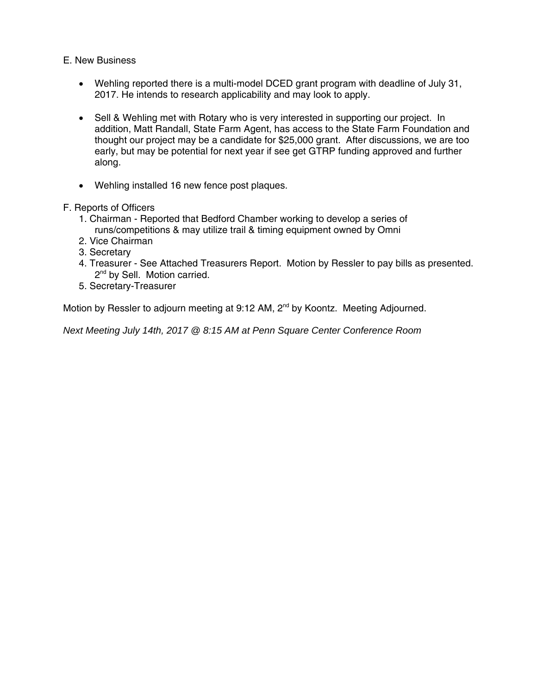E. New Business

- Wehling reported there is a multi-model DCED grant program with deadline of July 31, 2017. He intends to research applicability and may look to apply.
- Sell & Wehling met with Rotary who is very interested in supporting our project. In addition, Matt Randall, State Farm Agent, has access to the State Farm Foundation and thought our project may be a candidate for \$25,000 grant. After discussions, we are too early, but may be potential for next year if see get GTRP funding approved and further along.
- Wehling installed 16 new fence post plaques.
- F. Reports of Officers
	- 1. Chairman Reported that Bedford Chamber working to develop a series of runs/competitions & may utilize trail & timing equipment owned by Omni
	- 2. Vice Chairman
	- 3. Secretary
	- 4. Treasurer See Attached Treasurers Report. Motion by Ressler to pay bills as presented. 2<sup>nd</sup> by Sell. Motion carried.
	- 5. Secretary-Treasurer

Motion by Ressler to adjourn meeting at 9:12 AM, 2<sup>nd</sup> by Koontz. Meeting Adjourned.

*Next Meeting July 14th, 2017 @ 8:15 AM at Penn Square Center Conference Room*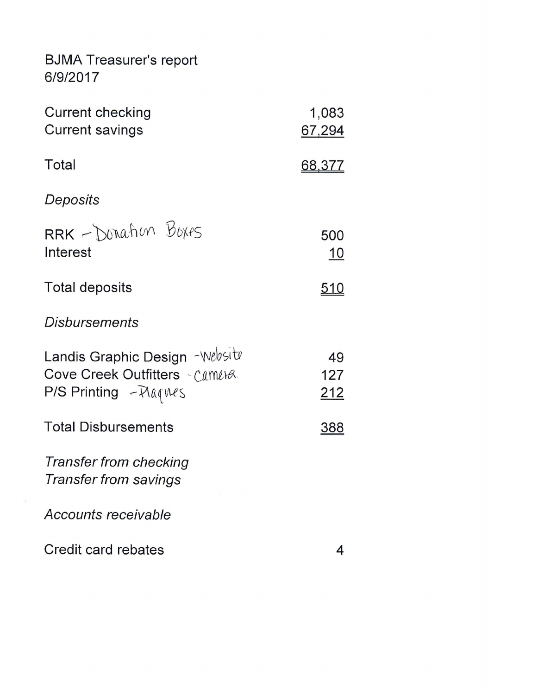**BJMA Treasurer's report** 6/9/2017

 $\mathcal{L}_{\mathcal{A}}$ 

| Current checking<br><b>Current savings</b>                                                  | 1,083<br>67,294         |
|---------------------------------------------------------------------------------------------|-------------------------|
| Total                                                                                       | <u>68,377</u>           |
| Deposits                                                                                    |                         |
| $RRK - Donahun Bokes$<br>Interest                                                           | 500<br><u> 10</u>       |
| <b>Total deposits</b>                                                                       | <u>510</u>              |
| <b>Disbursements</b>                                                                        |                         |
| Landis Graphic Design - Website<br>Cove Creek Outfitters - Camera<br>P/S Printing - Plaques | 49<br>127<br><u>212</u> |
| <b>Total Disbursements</b>                                                                  | <u>388</u>              |
| Transfer from checking<br><b>Transfer from savings</b>                                      |                         |
| <b>Accounts receivable</b>                                                                  |                         |
| Credit card rebates                                                                         | 4                       |